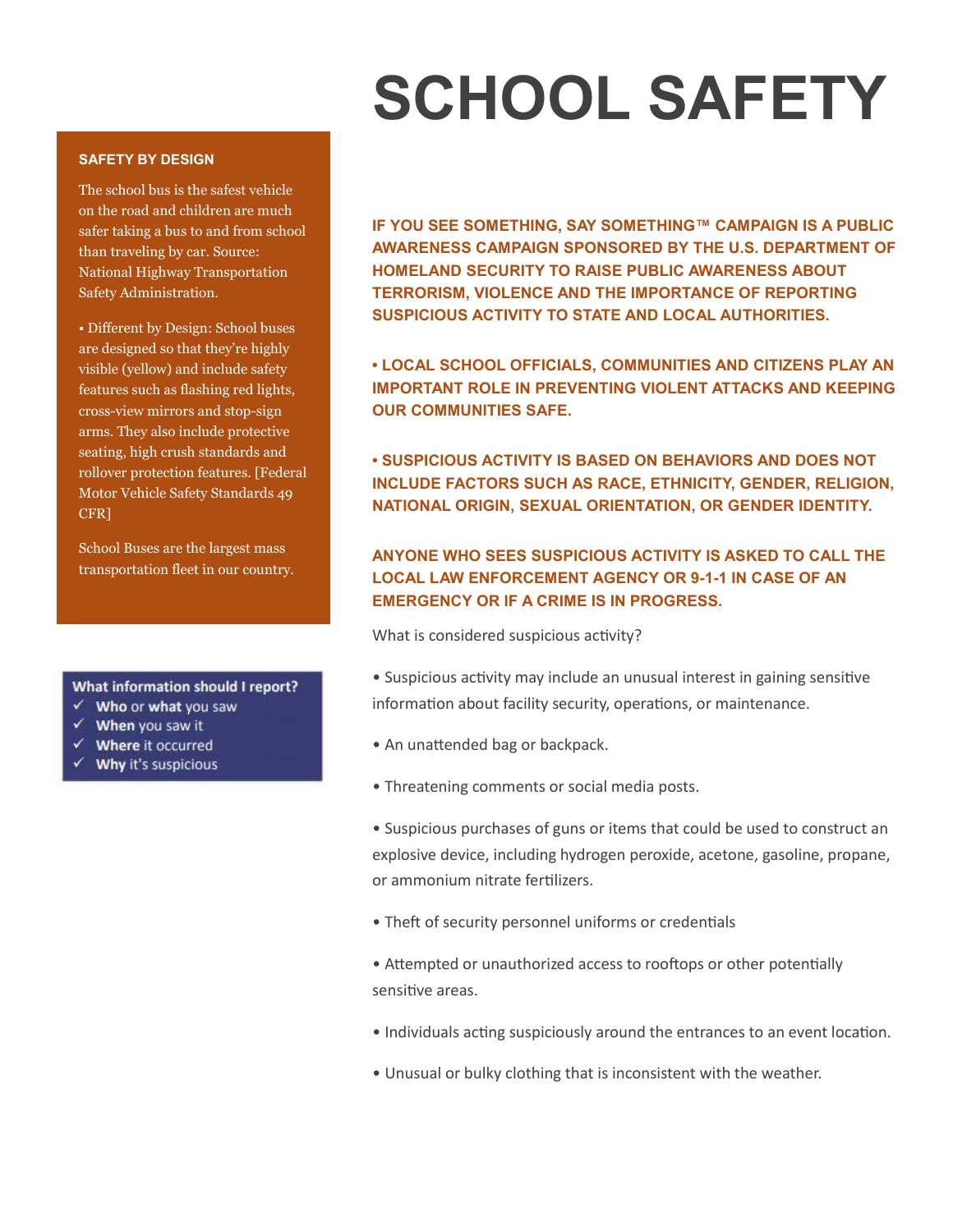# **SCHOOL SAFETY**

### **SAFETY BY DESIGN**

The school bus is the safest vehicle on the road and children are much safer taking a bus to and from school than traveling by car. Source: National Highway Transportation Safety Administration.

• Different by Design: School buses are designed so that they're highly visible (yellow) and include safety features such as flashing red lights, cross-view mirrors and stop-sign arms. They also include protective seating, high crush standards and rollover protection features. [Federal Motor Vehicle Safety Standards 49 CFR]

School Buses are the largest mass transportation fleet in our country.

#### What information should I report?

- $\checkmark$  Who or what you saw
- $\checkmark$  When you saw it
- √ Where it occurred
- $\checkmark$  Why it's suspicious

**IF YOU SEE SOMETHING, SAY SOMETHING™ CAMPAIGN IS A PUBLIC AWARENESS CAMPAIGN SPONSORED BY THE U.S. DEPARTMENT OF HOMELAND SECURITY TO RAISE PUBLIC AWARENESS ABOUT TERRORISM, VIOLENCE AND THE IMPORTANCE OF REPORTING SUSPICIOUS ACTIVITY TO STATE AND LOCAL AUTHORITIES.** 

**• LOCAL SCHOOL OFFICIALS, COMMUNITIES AND CITIZENS PLAY AN IMPORTANT ROLE IN PREVENTING VIOLENT ATTACKS AND KEEPING OUR COMMUNITIES SAFE.** 

**• SUSPICIOUS ACTIVITY IS BASED ON BEHAVIORS AND DOES NOT INCLUDE FACTORS SUCH AS RACE, ETHNICITY, GENDER, RELIGION, NATIONAL ORIGIN, SEXUAL ORIENTATION, OR GENDER IDENTITY.** 

## **ANYONE WHO SEES SUSPICIOUS ACTIVITY IS ASKED TO CALL THE LOCAL LAW ENFORCEMENT AGENCY OR 9-1-1 IN CASE OF AN EMERGENCY OR IF A CRIME IS IN PROGRESS.**

## What is considered suspicious activity?

- Suspicious activity may include an unusual interest in gaining sensitive information about facility security, operations, or maintenance.
- An unattended bag or backpack.
- Threatening comments or social media posts.
- Suspicious purchases of guns or items that could be used to construct an explosive device, including hydrogen peroxide, acetone, gasoline, propane, or ammonium nitrate fertilizers.
- Theft of security personnel uniforms or credentials
- Attempted or unauthorized access to rooftops or other potentially sensitive areas.
- Individuals acting suspiciously around the entrances to an event location.
- Unusual or bulky clothing that is inconsistent with the weather.